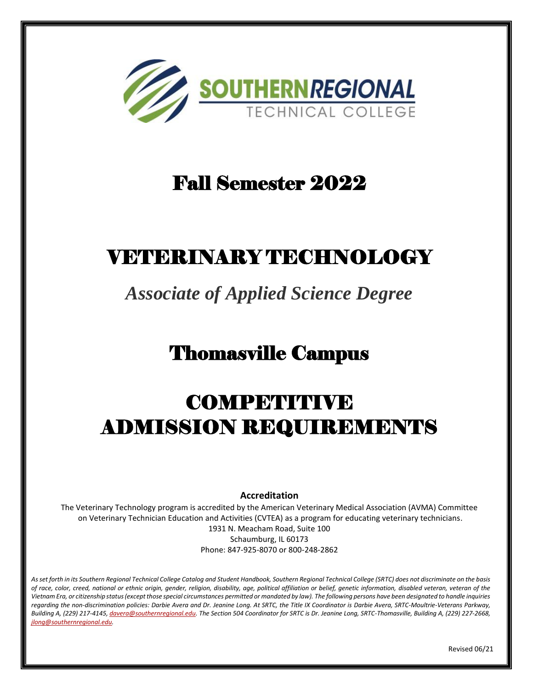

## Fall Semester 2022

## VETERINARY TECHNOLOGY

### *Associate of Applied Science Degree*

## Thomasville Campus

# **COMPETITIVE** ADMISSION REQUIREMENTS

#### **Accreditation**

The Veterinary Technology program is accredited by the American Veterinary Medical Association (AVMA) Committee on Veterinary Technician Education and Activities (CVTEA) as a program for educating veterinary technicians. 1931 N. Meacham Road, Suite 100 Schaumburg, IL 60173

Phone: 847-925-8070 or 800-248-2862

*As set forth in its Southern Regional Technical College Catalog and Student Handbook, Southern Regional Technical College (SRTC) does not discriminate on the basis of race, color, creed, national or ethnic origin, gender, religion, disability, age, political affiliation or belief, genetic information, disabled veteran, veteran of the Vietnam Era, or citizenship status (except those special circumstances permitted or mandated by law). The following persons have been designated to handle inquiries regarding the non-discrimination policies: Darbie Avera and Dr. Jeanine Long. At SRTC, the Title IX Coordinator is Darbie Avera, SRTC-Moultrie-Veterans Parkway, Building A, (229) 217-4145[, davera@southernregional.edu.](mailto:davera@southernregional.edu) The Section 504 Coordinator for SRTC is Dr. Jeanine Long, SRTC-Thomasville, Building A, (229) 227-2668, [jlong@southernregional.edu.](mailto:jlong@southernregional.edu)*

Revised 06/21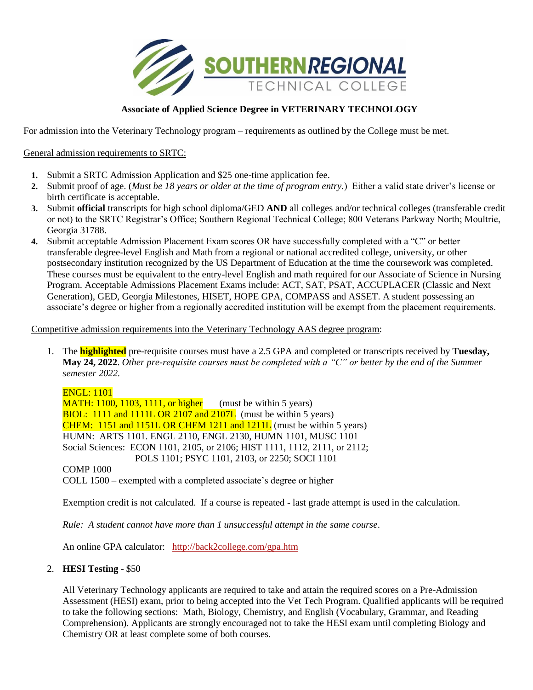

#### **Associate of Applied Science Degree in VETERINARY TECHNOLOGY**

For admission into the Veterinary Technology program – requirements as outlined by the College must be met.

General admission requirements to SRTC:

- **1.** Submit a SRTC Admission Application and \$25 one-time application fee.
- **2.** Submit proof of age. (*Must be 18 years or older at the time of program entry.*) Either a valid state driver's license or birth certificate is acceptable.
- **3.** Submit **official** transcripts for high school diploma/GED **AND** all colleges and/or technical colleges (transferable credit or not) to the SRTC Registrar's Office; Southern Regional Technical College; 800 Veterans Parkway North; Moultrie, Georgia 31788.
- **4.** Submit acceptable Admission Placement Exam scores OR have successfully completed with a "C" or better transferable degree-level English and Math from a regional or national accredited college, university, or other postsecondary institution recognized by the US Department of Education at the time the coursework was completed. These courses must be equivalent to the entry-level English and math required for our Associate of Science in Nursing Program. Acceptable Admissions Placement Exams include: ACT, SAT, PSAT, ACCUPLACER (Classic and Next Generation), GED, Georgia Milestones, HISET, HOPE GPA, COMPASS and ASSET. A student possessing an associate's degree or higher from a regionally accredited institution will be exempt from the placement requirements.

Competitive admission requirements into the Veterinary Technology AAS degree program:

1. The **highlighted** pre-requisite courses must have a 2.5 GPA and completed or transcripts received by **Tuesday, May 24, 2022**. *Other pre-requisite courses must be completed with a "C" or better by the end of the Summer semester 2022.*

#### ENGL: 1101

**MATH:** 1100, 1103, 1111, or higher (must be within 5 years) BIOL: 1111 and 1111L OR 2107 and 2107L (must be within 5 years) CHEM: 1151 and 1151L OR CHEM 1211 and 1211L (must be within 5 years) HUMN: ARTS 1101. ENGL 2110, ENGL 2130, HUMN 1101, MUSC 1101 Social Sciences: ECON 1101, 2105, or 2106; HIST 1111, 1112, 2111, or 2112; POLS 1101; PSYC 1101, 2103, or 2250; SOCI 1101 COMP 1000

COLL 1500 – exempted with a completed associate's degree or higher

Exemption credit is not calculated. If a course is repeated - last grade attempt is used in the calculation.

*Rule: A student cannot have more than 1 unsuccessful attempt in the same course*.

An online GPA calculator: <http://back2college.com/gpa.htm>

#### 2. **HESI Testing** - \$50

All Veterinary Technology applicants are required to take and attain the required scores on a Pre-Admission Assessment (HESI) exam, prior to being accepted into the Vet Tech Program. Qualified applicants will be required to take the following sections: Math, Biology, Chemistry, and English (Vocabulary, Grammar, and Reading Comprehension). Applicants are strongly encouraged not to take the HESI exam until completing Biology and Chemistry OR at least complete some of both courses.